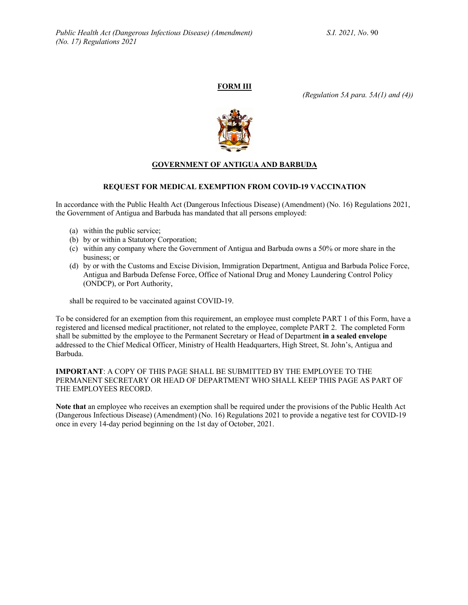# **FORM III**

*(Regulation 5A para. 5A(1) and (4))*



## **GOVERNMENT OF ANTIGUA AND BARBUDA**

### **REQUEST FOR MEDICAL EXEMPTION FROM COVID-19 VACCINATION**

In accordance with the Public Health Act (Dangerous Infectious Disease) (Amendment) (No. 16) Regulations 2021, the Government of Antigua and Barbuda has mandated that all persons employed:

- (a) within the public service;
- (b) by or within a Statutory Corporation;
- (c) within any company where the Government of Antigua and Barbuda owns a 50% or more share in the business; or
- (d) by or with the Customs and Excise Division, Immigration Department, Antigua and Barbuda Police Force, Antigua and Barbuda Defense Force, Office of National Drug and Money Laundering Control Policy (ONDCP), or Port Authority,

shall be required to be vaccinated against COVID-19.

To be considered for an exemption from this requirement, an employee must complete PART 1 of this Form, have a registered and licensed medical practitioner, not related to the employee, complete PART 2. The completed Form shall be submitted by the employee to the Permanent Secretary or Head of Department **in a sealed envelope** addressed to the Chief Medical Officer, Ministry of Health Headquarters, High Street, St. John's, Antigua and Barbuda.

**IMPORTANT**: A COPY OF THIS PAGE SHALL BE SUBMITTED BY THE EMPLOYEE TO THE PERMANENT SECRETARY OR HEAD OF DEPARTMENT WHO SHALL KEEP THIS PAGE AS PART OF THE EMPLOYEES RECORD.

**Note that** an employee who receives an exemption shall be required under the provisions of the Public Health Act (Dangerous Infectious Disease) (Amendment) (No. 16) Regulations 2021 to provide a negative test for COVID-19 once in every 14-day period beginning on the 1st day of October, 2021.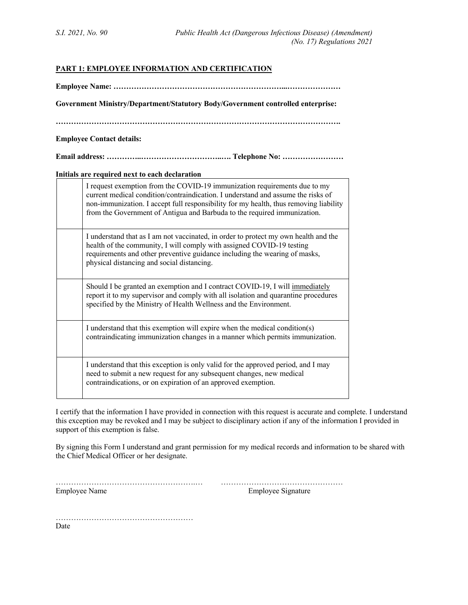## **PART 1: EMPLOYEE INFORMATION AND CERTIFICATION**

**Employee Name: …………………………………………………………...…………………**

**Government Ministry/Department/Statutory Body/Government controlled enterprise:**

**………………………………………………………………………………………………….**

**Employee Contact details:**

|--|--|

#### **Initials are required next to each declaration**

| I request exemption from the COVID-19 immunization requirements due to my<br>current medical condition/contraindication. I understand and assume the risks of<br>non-immunization. I accept full responsibility for my health, thus removing liability<br>from the Government of Antigua and Barbuda to the required immunization. |
|------------------------------------------------------------------------------------------------------------------------------------------------------------------------------------------------------------------------------------------------------------------------------------------------------------------------------------|
| I understand that as I am not vaccinated, in order to protect my own health and the<br>health of the community, I will comply with assigned COVID-19 testing<br>requirements and other preventive guidance including the wearing of masks,<br>physical distancing and social distancing.                                           |
| Should I be granted an exemption and I contract COVID-19, I will immediately<br>report it to my supervisor and comply with all isolation and quarantine procedures<br>specified by the Ministry of Health Wellness and the Environment.                                                                                            |
| I understand that this exemption will expire when the medical condition(s)<br>contraindicating immunization changes in a manner which permits immunization.                                                                                                                                                                        |
| I understand that this exception is only valid for the approved period, and I may<br>need to submit a new request for any subsequent changes, new medical<br>contraindications, or on expiration of an approved exemption.                                                                                                         |

I certify that the information I have provided in connection with this request is accurate and complete. I understand this exception may be revoked and I may be subject to disciplinary action if any of the information I provided in support of this exemption is false.

By signing this Form I understand and grant permission for my medical records and information to be shared with the Chief Medical Officer or her designate.

……………………………………………….… ………………………………………… Employee Name Employee Signature

………………………………………………

Date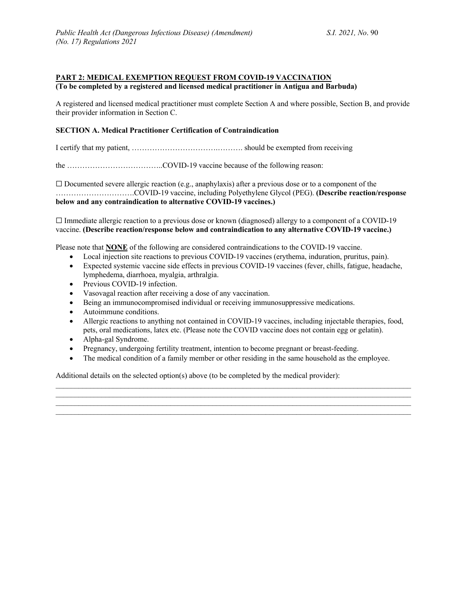#### **PART 2: MEDICAL EXEMPTION REQUEST FROM COVID-19 VACCINATION (To be completed by a registered and licensed medical practitioner in Antigua and Barbuda)**

A registered and licensed medical practitioner must complete Section A and where possible, Section B, and provide their provider information in Section C.

### **SECTION A. Medical Practitioner Certification of Contraindication**

I certify that my patient, …………………………….………. should be exempted from receiving

the ………………………………..COVID-19 vaccine because of the following reason:

 $\Box$  Documented severe allergic reaction (e.g., anaphylaxis) after a previous dose or to a component of the ………………………….COVID-19 vaccine, including Polyethylene Glycol (PEG). **(Describe reaction/response below and any contraindication to alternative COVID-19 vaccines.)** 

 $\Box$  Immediate allergic reaction to a previous dose or known (diagnosed) allergy to a component of a COVID-19 vaccine. **(Describe reaction/response below and contraindication to any alternative COVID-19 vaccine.)**

Please note that **NONE** of the following are considered contraindications to the COVID-19 vaccine.

- Local injection site reactions to previous COVID-19 vaccines (erythema, induration, pruritus, pain).
- Expected systemic vaccine side effects in previous COVID-19 vaccines (fever, chills, fatigue, headache, lymphedema, diarrhoea, myalgia, arthralgia.
- Previous COVID-19 infection.
- Vasovagal reaction after receiving a dose of any vaccination.
- Being an immunocompromised individual or receiving immunosuppressive medications.
- Autoimmune conditions.
- Allergic reactions to anything not contained in COVID-19 vaccines, including injectable therapies, food, pets, oral medications, latex etc. (Please note the COVID vaccine does not contain egg or gelatin).
- Alpha-gal Syndrome.
- Pregnancy, undergoing fertility treatment, intention to become pregnant or breast-feeding.
- The medical condition of a family member or other residing in the same household as the employee.

 $\mathcal{L}_\mathcal{L} = \mathcal{L}_\mathcal{L} = \mathcal{L}_\mathcal{L} = \mathcal{L}_\mathcal{L} = \mathcal{L}_\mathcal{L} = \mathcal{L}_\mathcal{L} = \mathcal{L}_\mathcal{L} = \mathcal{L}_\mathcal{L} = \mathcal{L}_\mathcal{L} = \mathcal{L}_\mathcal{L} = \mathcal{L}_\mathcal{L} = \mathcal{L}_\mathcal{L} = \mathcal{L}_\mathcal{L} = \mathcal{L}_\mathcal{L} = \mathcal{L}_\mathcal{L} = \mathcal{L}_\mathcal{L} = \mathcal{L}_\mathcal{L}$  $\mathcal{L}_\mathcal{L} = \mathcal{L}_\mathcal{L}$ 

Additional details on the selected option(s) above (to be completed by the medical provider):